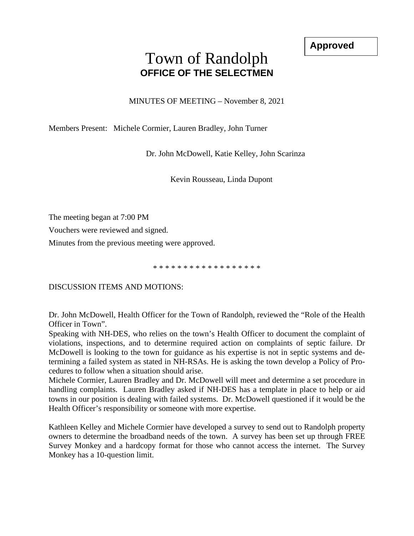**Approved**

## Town of Randolph **OFFICE OF THE SELECTMEN**

MINUTES OF MEETING – November 8, 2021

Members Present: Michele Cormier, Lauren Bradley, John Turner

Dr. John McDowell, Katie Kelley, John Scarinza

Kevin Rousseau, Linda Dupont

The meeting began at 7:00 PM

Vouchers were reviewed and signed.

Minutes from the previous meeting were approved.

\* \* \* \* \* \* \* \* \* \* \* \* \* \* \* \* \* \*

DISCUSSION ITEMS AND MOTIONS:

Dr. John McDowell, Health Officer for the Town of Randolph, reviewed the "Role of the Health Officer in Town".

Speaking with NH-DES, who relies on the town's Health Officer to document the complaint of violations, inspections, and to determine required action on complaints of septic failure. Dr McDowell is looking to the town for guidance as his expertise is not in septic systems and determining a failed system as stated in NH-RSAs. He is asking the town develop a Policy of Procedures to follow when a situation should arise.

Michele Cormier, Lauren Bradley and Dr. McDowell will meet and determine a set procedure in handling complaints. Lauren Bradley asked if NH-DES has a template in place to help or aid towns in our position is dealing with failed systems. Dr. McDowell questioned if it would be the Health Officer's responsibility or someone with more expertise.

Kathleen Kelley and Michele Cormier have developed a survey to send out to Randolph property owners to determine the broadband needs of the town. A survey has been set up through FREE Survey Monkey and a hardcopy format for those who cannot access the internet. The Survey Monkey has a 10-question limit.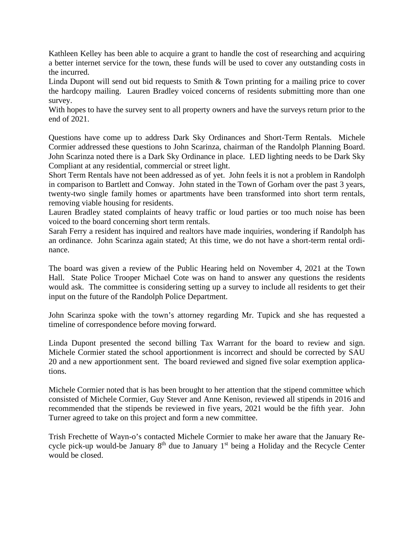Kathleen Kelley has been able to acquire a grant to handle the cost of researching and acquiring a better internet service for the town, these funds will be used to cover any outstanding costs in the incurred.

Linda Dupont will send out bid requests to Smith & Town printing for a mailing price to cover the hardcopy mailing. Lauren Bradley voiced concerns of residents submitting more than one survey.

With hopes to have the survey sent to all property owners and have the surveys return prior to the end of 2021.

Questions have come up to address Dark Sky Ordinances and Short-Term Rentals. Michele Cormier addressed these questions to John Scarinza, chairman of the Randolph Planning Board. John Scarinza noted there is a Dark Sky Ordinance in place. LED lighting needs to be Dark Sky Compliant at any residential, commercial or street light.

Short Term Rentals have not been addressed as of yet. John feels it is not a problem in Randolph in comparison to Bartlett and Conway. John stated in the Town of Gorham over the past 3 years, twenty-two single family homes or apartments have been transformed into short term rentals, removing viable housing for residents.

Lauren Bradley stated complaints of heavy traffic or loud parties or too much noise has been voiced to the board concerning short term rentals.

Sarah Ferry a resident has inquired and realtors have made inquiries, wondering if Randolph has an ordinance. John Scarinza again stated; At this time, we do not have a short-term rental ordinance.

The board was given a review of the Public Hearing held on November 4, 2021 at the Town Hall. State Police Trooper Michael Cote was on hand to answer any questions the residents would ask. The committee is considering setting up a survey to include all residents to get their input on the future of the Randolph Police Department.

John Scarinza spoke with the town's attorney regarding Mr. Tupick and she has requested a timeline of correspondence before moving forward.

Linda Dupont presented the second billing Tax Warrant for the board to review and sign. Michele Cormier stated the school apportionment is incorrect and should be corrected by SAU 20 and a new apportionment sent. The board reviewed and signed five solar exemption applications.

Michele Cormier noted that is has been brought to her attention that the stipend committee which consisted of Michele Cormier, Guy Stever and Anne Kenison, reviewed all stipends in 2016 and recommended that the stipends be reviewed in five years, 2021 would be the fifth year. John Turner agreed to take on this project and form a new committee.

Trish Frechette of Wayn-o's contacted Michele Cormier to make her aware that the January Recycle pick-up would-be January 8<sup>th</sup> due to January 1<sup>st</sup> being a Holiday and the Recycle Center would be closed.